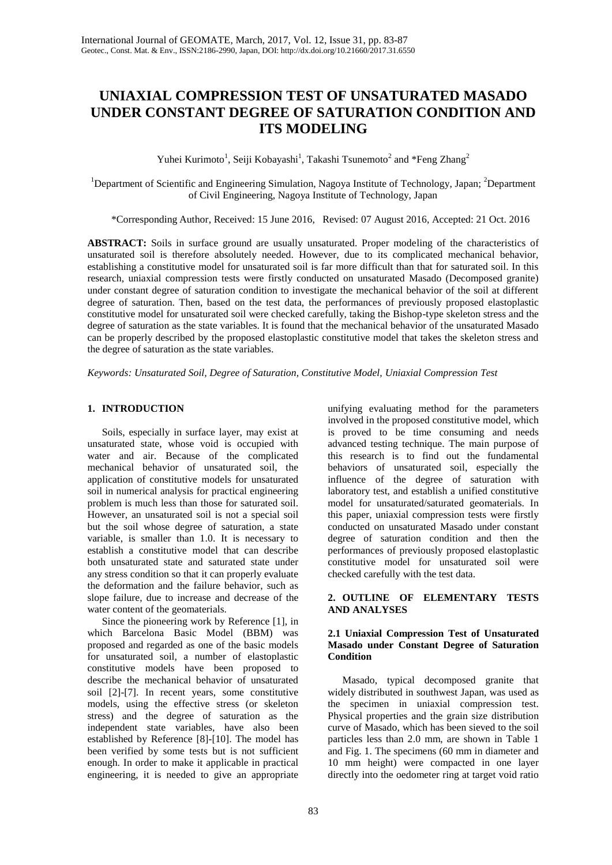# **UNIAXIAL COMPRESSION TEST OF UNSATURATED MASADO UNDER CONSTANT DEGREE OF SATURATION CONDITION AND ITS MODELING**

Yuhei Kurimoto<sup>1</sup>, Seiji Kobayashi<sup>1</sup>, Takashi Tsunemoto<sup>2</sup> and \*Feng Zhang<sup>2</sup>

<sup>1</sup>Department of Scientific and Engineering Simulation, Nagoya Institute of Technology, Japan; <sup>2</sup>Department of Civil Engineering, Nagoya Institute of Technology, Japan

\*Corresponding Author, Received: 15 June 2016, Revised: 07 August 2016, Accepted: 21 Oct. 2016

**ABSTRACT:** Soils in surface ground are usually unsaturated. Proper modeling of the characteristics of unsaturated soil is therefore absolutely needed. However, due to its complicated mechanical behavior, establishing a constitutive model for unsaturated soil is far more difficult than that for saturated soil. In this research, uniaxial compression tests were firstly conducted on unsaturated Masado (Decomposed granite) under constant degree of saturation condition to investigate the mechanical behavior of the soil at different degree of saturation. Then, based on the test data, the performances of previously proposed elastoplastic constitutive model for unsaturated soil were checked carefully, taking the Bishop-type skeleton stress and the degree of saturation as the state variables. It is found that the mechanical behavior of the unsaturated Masado can be properly described by the proposed elastoplastic constitutive model that takes the skeleton stress and the degree of saturation as the state variables.

*Keywords: Unsaturated Soil, Degree of Saturation, Constitutive Model, Uniaxial Compression Test*

# **1. INTRODUCTION**

Soils, especially in surface layer, may exist at unsaturated state, whose void is occupied with water and air. Because of the complicated mechanical behavior of unsaturated soil, the application of constitutive models for unsaturated soil in numerical analysis for practical engineering problem is much less than those for saturated soil. However, an unsaturated soil is not a special soil but the soil whose degree of saturation, a state variable, is smaller than 1.0. It is necessary to establish a constitutive model that can describe both unsaturated state and saturated state under any stress condition so that it can properly evaluate the deformation and the failure behavior, such as slope failure, due to increase and decrease of the water content of the geomaterials.

Since the pioneering work by Reference [1], in which Barcelona Basic Model (BBM) was proposed and regarded as one of the basic models for unsaturated soil, a number of elastoplastic constitutive models have been proposed to describe the mechanical behavior of unsaturated soil [2]-[7]. In recent years, some constitutive models, using the effective stress (or skeleton stress) and the degree of saturation as the independent state variables, have also been established by Reference [8]-[10]. The model has been verified by some tests but is not sufficient enough. In order to make it applicable in practical engineering, it is needed to give an appropriate

unifying evaluating method for the parameters involved in the proposed constitutive model, which is proved to be time consuming and needs advanced testing technique. The main purpose of this research is to find out the fundamental behaviors of unsaturated soil, especially the influence of the degree of saturation with laboratory test, and establish a unified constitutive model for unsaturated/saturated geomaterials. In this paper, uniaxial compression tests were firstly conducted on unsaturated Masado under constant degree of saturation condition and then the performances of previously proposed elastoplastic constitutive model for unsaturated soil were checked carefully with the test data.

# **2. OUTLINE OF ELEMENTARY TESTS AND ANALYSES**

## **2.1 Uniaxial Compression Test of Unsaturated Masado under Constant Degree of Saturation Condition**

Masado, typical decomposed granite that widely distributed in southwest Japan, was used as the specimen in uniaxial compression test. Physical properties and the grain size distribution curve of Masado, which has been sieved to the soil particles less than 2.0 mm, are shown in Table 1 and Fig. 1. The specimens (60 mm in diameter and 10 mm height) were compacted in one layer directly into the oedometer ring at target void ratio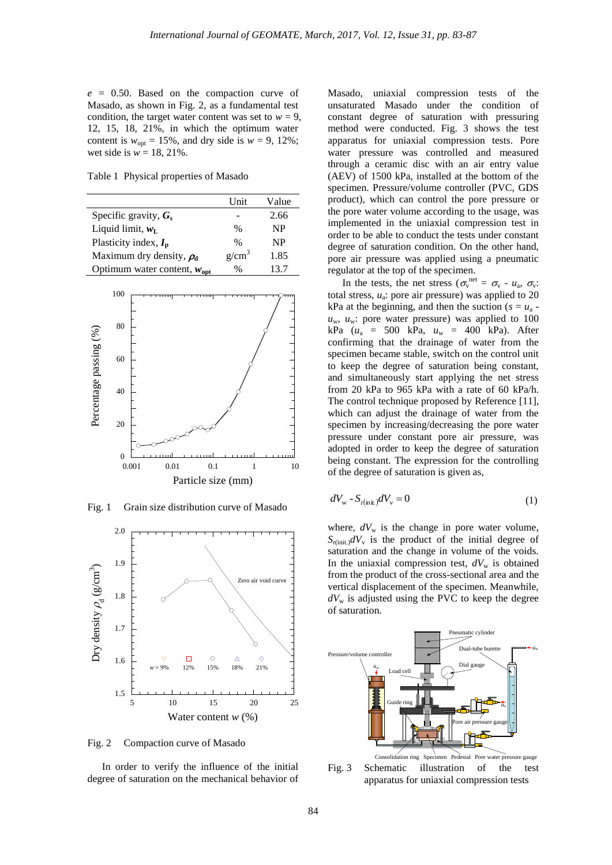*e* = 0.50. Based on the compaction curve of Masado, as shown in Fig. 2, as a fundamental test condition, the target water content was set to  $w = 9$ , 12, 15, 18, 21%, in which the optimum water content is  $w_{\text{opt}} = 15\%$ , and dry side is  $w = 9$ , 12%; wet side is  $w = 18, 21\%$ .

Table 1 Physical properties of Masado

|                                         | <b>Unit</b> | Value     |
|-----------------------------------------|-------------|-----------|
| Specific gravity, $G_s$                 |             | 2.66      |
| Liquid limit, $w_L$                     | $\%$        | NP        |
| Plasticity index, $I_p$                 | $\%$        | <b>NP</b> |
| Maximum dry density, $\rho_d$           | $g/cm^3$    | 1.85      |
| Optimum water content, $w_{\text{opt}}$ | $\%$        | 13.7      |
|                                         |             |           |



Fig. 1 Grain size distribution curve of Masado



Fig. 2 Compaction curve of Masado

In order to verify the influence of the initial degree of saturation on the mechanical behavior of

Masado, uniaxial compression tests of the unsaturated Masado under the condition of constant degree of saturation with pressuring method were conducted. Fig. 3 shows the test apparatus for uniaxial compression tests. Pore water pressure was controlled and measured through a ceramic disc with an air entry value (AEV) of 1500 kPa, installed at the bottom of the specimen. Pressure/volume controller (PVC, GDS product), which can control the pore pressure or the pore water volume according to the usage, was implemented in the uniaxial compression test in order to be able to conduct the tests under constant degree of saturation condition. On the other hand, pore air pressure was applied using a pneumatic regulator at the top of the specimen.

In the tests, the net stress ( $\sigma_v^{\text{net}} = \sigma_v - u_a$ ,  $\sigma_v$ : total stress,  $u_a$ : pore air pressure) was applied to 20 kPa at the beginning, and then the suction ( $s = u_a$   $u_w$ ,  $u_w$ : pore water pressure) was applied to 100 kPa (*u*<sup>a</sup> = 500 kPa, *u*<sup>w</sup> = 400 kPa). After confirming that the drainage of water from the specimen became stable, switch on the control unit to keep the degree of saturation being constant, and simultaneously start applying the net stress from 20 kPa to 965 kPa with a rate of 60 kPa/h. The control technique proposed by Reference [11], which can adjust the drainage of water from the specimen by increasing/decreasing the pore water pressure under constant pore air pressure, was adopted in order to keep the degree of saturation being constant. The expression for the controlling of the degree of saturation is given as,

$$
dV_{\rm w} - S_{\rm r(int)}dV_{\rm v} = 0\tag{1}
$$

where,  $dV_w$  is the change in pore water volume,  $S_{r(int)}dV$ <sub>v</sub> is the product of the initial degree of saturation and the change in volume of the voids. In the uniaxial compression test,  $dV_w$  is obtained from the product of the cross-sectional area and the vertical displacement of the specimen. Meanwhile,  $dV<sub>w</sub>$  is adjusted using the PVC to keep the degree of saturation.



Fig. 3 Schematic illustration of the test apparatus for uniaxial compression tests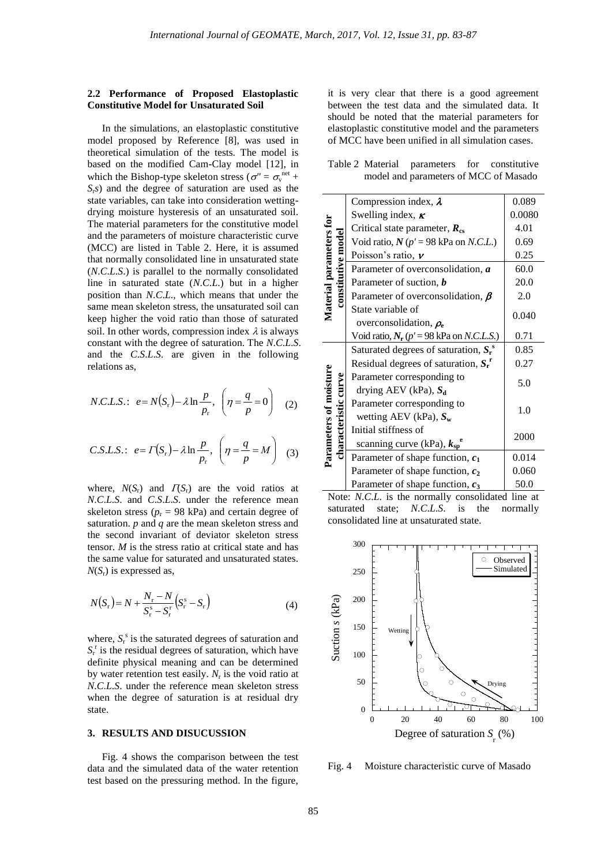#### **2.2 Performance of Proposed Elastoplastic Constitutive Model for Unsaturated Soil**

In the simulations, an elastoplastic constitutive model proposed by Reference [8], was used in theoretical simulation of the tests. The model is based on the modified Cam-Clay model [12], in which the Bishop-type skeleton stress ( $\sigma'' = \sigma_v^{\text{net}} +$ *S*r*s*) and the degree of saturation are used as the state variables, can take into consideration wettingdrying moisture hysteresis of an unsaturated soil. The material parameters for the constitutive model and the parameters of moisture characteristic curve (MCC) are listed in Table 2. Here, it is assumed that normally consolidated line in unsaturated state (*N*.*C*.*L*.*S*.) is parallel to the normally consolidated line in saturated state (*N*.*C*.*L*.) but in a higher position than *N*.*C*.*L*., which means that under the same mean skeleton stress, the unsaturated soil can keep higher the void ratio than those of saturated soil. In other words, compression index  $\lambda$  is always constant with the degree of saturation. The *N*.*C*.*L*.*S*. and the *C*.*S*.*L*.*S*. are given in the following relations as,

$$
N.C.L.S.:\ \ e = N(S_r) - \lambda \ln \frac{p}{p_r},\ \left(\eta = \frac{q}{p} = 0\right)
$$
 (2)

$$
C.S.L.S.:\ e = \Gamma(S_r) - \lambda \ln \frac{p}{p_r}, \ \left(\eta = \frac{q}{p} = M\right) \tag{3}
$$

where,  $N(S_r)$  and  $\Gamma(S_r)$  are the void ratios at *N*.*C*.*L*.*S*. and *C*.*S*.*L*.*S*. under the reference mean skeleton stress ( $p_r = 98$  kPa) and certain degree of saturation. *p* and *q* are the mean skeleton stress and the second invariant of deviator skeleton stress tensor. *M* is the stress ratio at critical state and has the same value for saturated and unsaturated states. *N*(*S*r) is expressed as,

$$
N(S_r) = N + \frac{N_r - N}{S_r^s - S_r^r} (S_r^s - S_r)
$$
\n(4)

where,  $S_r^s$  is the saturated degrees of saturation and  $S_r^r$  is the residual degrees of saturation, which have definite physical meaning and can be determined by water retention test easily.  $N_r$  is the void ratio at *N*.*C*.*L*.*S*. under the reference mean skeleton stress when the degree of saturation is at residual dry state.

#### **3. RESULTS AND DISUCUSSION**

Fig. 4 shows the comparison between the test data and the simulated data of the water retention test based on the pressuring method. In the figure, it is very clear that there is a good agreement between the test data and the simulated data. It should be noted that the material parameters for elastoplastic constitutive model and the parameters of MCC have been unified in all simulation cases.

Table 2 Material parameters for constitutive model and parameters of MCC of Masado

| Material parameters for<br>constitutive model  | Compression index, $\lambda$                         | 0.089  |  |
|------------------------------------------------|------------------------------------------------------|--------|--|
|                                                | Swelling index, $\kappa$                             | 0.0080 |  |
|                                                | Critical state parameter, $R_{cs}$                   | 4.01   |  |
|                                                | Void ratio, $N (p' = 98 \text{ kPa on } N.C.L.)$     | 0.69   |  |
|                                                | Poisson's ratio, $\nu$                               | 0.25   |  |
|                                                | Parameter of overconsolidation, $\boldsymbol{a}$     | 60.0   |  |
|                                                | Parameter of suction, $\boldsymbol{b}$               | 20.0   |  |
|                                                | Parameter of overconsolidation, $\beta$              | 2.0    |  |
|                                                | State variable of                                    |        |  |
|                                                | overconsolidation, $\rho_e$                          | 0.040  |  |
|                                                | Void ratio, $N_r (p' = 98 \text{ kPa on } N.C.L.S.)$ | 0.71   |  |
|                                                | Saturated degrees of saturation, $S_r^s$             | 0.85   |  |
| Parameters of moisture<br>characteristic curve | Residual degrees of saturation, $S_r^r$              | 0.27   |  |
|                                                | Parameter corresponding to                           |        |  |
|                                                | drying AEV (kPa), S <sub>d</sub>                     | 5.0    |  |
|                                                | Parameter corresponding to                           |        |  |
|                                                | wetting AEV (kPa), $S_w$                             | 1.0    |  |
|                                                | Initial stiffness of                                 | 2000   |  |
|                                                | scanning curve (kPa), $k_{\rm{sp}}^{\rm{e}}$         |        |  |
|                                                | Parameter of shape function, $c_1$                   | 0.014  |  |
|                                                | Parameter of shape function, $c_2$                   | 0.060  |  |
|                                                | Parameter of shape function, $c_3$                   | 50.0   |  |

Note: *N*.*C*.*L*. is the normally consolidated line at saturated state; *N*.*C*.*L*.*S*. is the normally consolidated line at unsaturated state.



Fig. 4 Moisture characteristic curve of Masado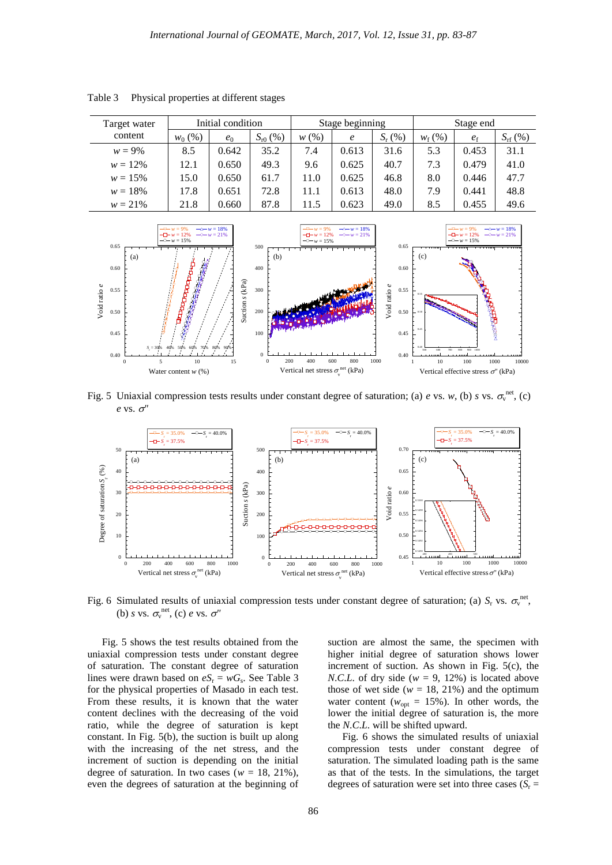| Target water<br>content | Initial condition |       | Stage beginning |      |        | Stage end   |                 |             |                  |
|-------------------------|-------------------|-------|-----------------|------|--------|-------------|-----------------|-------------|------------------|
|                         | $w_0$ (%)         | $e_0$ | $S_{r0}$ (%)    | w(%) | $\ell$ | $S_{r}$ (%) | $W_{\rm f}$ (%) | $e_{\rm f}$ | $S_{\rm rf}(\%)$ |
| $w = 9\%$               | 8.5               | 0.642 | 35.2            | 7.4  | 0.613  | 31.6        | 5.3             | 0.453       | 31.1             |
| $w = 12\%$              | 12.1              | 0.650 | 49.3            | 9.6  | 0.625  | 40.7        | 7.3             | 0.479       | 41.0             |
| $w = 15\%$              | 15.0              | 0.650 | 61.7            | 11.0 | 0.625  | 46.8        | 8.0             | 0.446       | 47.7             |
| $w = 18\%$              | 17.8              | 0.651 | 72.8            | 11.1 | 0.613  | 48.0        | 7.9             | 0.441       | 48.8             |
| $w = 21\%$              | 21.8              | 0.660 | 87.8            | 11.5 | 0.623  | 49.0        | 8.5             | 0.455       | 49.6             |

Table 3 Physical properties at different stages



Fig. 5 Uniaxial compression tests results under constant degree of saturation; (a) *e* vs. *w*, (b) *s* vs.  $\sigma_v^{net}$ , (c)  $e$  vs.  $\sigma$ <sup>"</sup>



Fig. 6 Simulated results of uniaxial compression tests under constant degree of saturation; (a)  $S_r$  vs.  $\sigma_v^{\text{net}}$ , (b) *s* vs.  $\sigma_v^{\text{net}}$ , (c) *e* vs.  $\sigma''$ 

Fig. 5 shows the test results obtained from the uniaxial compression tests under constant degree of saturation. The constant degree of saturation lines were drawn based on  $eS_r = wG_s$ . See Table 3 for the physical properties of Masado in each test. From these results, it is known that the water content declines with the decreasing of the void ratio, while the degree of saturation is kept constant. In Fig. 5(b), the suction is built up along with the increasing of the net stress, and the increment of suction is depending on the initial degree of saturation. In two cases ( $w = 18, 21\%$ ), even the degrees of saturation at the beginning of

suction are almost the same, the specimen with higher initial degree of saturation shows lower increment of suction. As shown in Fig. 5(c), the *N.C.L.* of dry side ( $w = 9$ , 12%) is located above those of wet side ( $w = 18, 21\%$ ) and the optimum water content ( $w_{opt} = 15\%$ ). In other words, the lower the initial degree of saturation is, the more the *N*.*C*.*L*. will be shifted upward.

Fig. 6 shows the simulated results of uniaxial compression tests under constant degree of saturation. The simulated loading path is the same as that of the tests. In the simulations, the target degrees of saturation were set into three cases  $(S_r =$